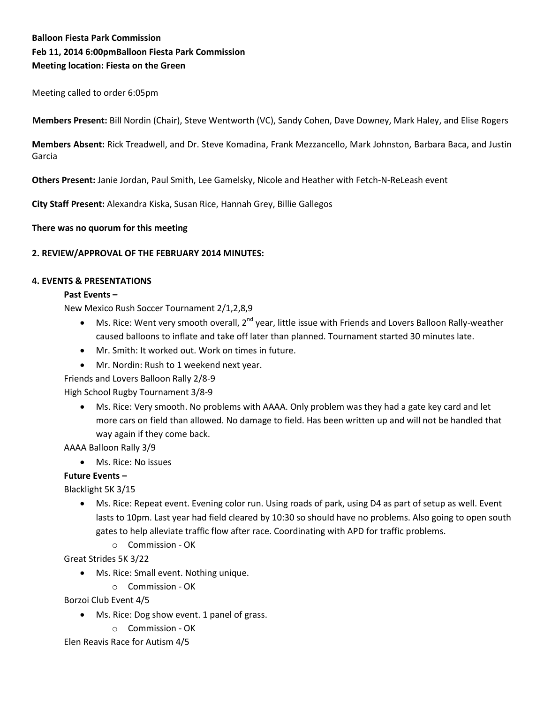# **Balloon Fiesta Park Commission Feb 11, 2014 6:00pmBalloon Fiesta Park Commission Meeting location: Fiesta on the Green**

Meeting called to order 6:05pm

 **Members Present:** Bill Nordin (Chair), Steve Wentworth (VC), Sandy Cohen, Dave Downey, Mark Haley, and Elise Rogers

**Members Absent:** Rick Treadwell, and Dr. Steve Komadina, Frank Mezzancello, Mark Johnston, Barbara Baca, and Justin Garcia

**Others Present:** Janie Jordan, Paul Smith, Lee Gamelsky, Nicole and Heather with Fetch-N-ReLeash event

**City Staff Present:** Alexandra Kiska, Susan Rice, Hannah Grey, Billie Gallegos

**There was no quorum for this meeting**

### **2. REVIEW/APPROVAL OF THE FEBRUARY 2014 MINUTES:**

#### **4. EVENTS & PRESENTATIONS**

#### **Past Events –**

New Mexico Rush Soccer Tournament 2/1,2,8,9

- $\bullet$  Ms. Rice: Went very smooth overall, 2<sup>nd</sup> year, little issue with Friends and Lovers Balloon Rally-weather caused balloons to inflate and take off later than planned. Tournament started 30 minutes late.
- Mr. Smith: It worked out. Work on times in future.
- Mr. Nordin: Rush to 1 weekend next year.

Friends and Lovers Balloon Rally 2/8-9

High School Rugby Tournament 3/8-9

 Ms. Rice: Very smooth. No problems with AAAA. Only problem was they had a gate key card and let more cars on field than allowed. No damage to field. Has been written up and will not be handled that way again if they come back.

AAAA Balloon Rally 3/9

• Ms. Rice: No issues

### **Future Events –**

Blacklight 5K 3/15

- Ms. Rice: Repeat event. Evening color run. Using roads of park, using D4 as part of setup as well. Event lasts to 10pm. Last year had field cleared by 10:30 so should have no problems. Also going to open south gates to help alleviate traffic flow after race. Coordinating with APD for traffic problems.
	- o Commission OK

Great Strides 5K 3/22

- Ms. Rice: Small event. Nothing unique.
	- o Commission OK

Borzoi Club Event 4/5

- Ms. Rice: Dog show event. 1 panel of grass.
	- o Commission OK

Elen Reavis Race for Autism 4/5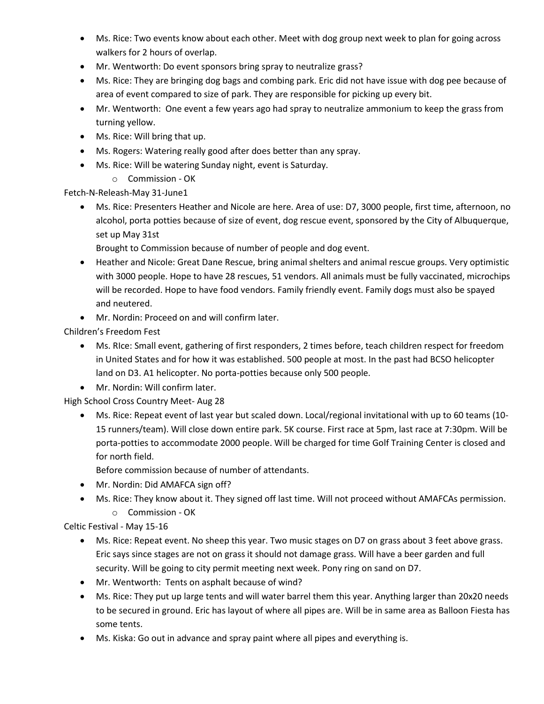- Ms. Rice: Two events know about each other. Meet with dog group next week to plan for going across walkers for 2 hours of overlap.
- Mr. Wentworth: Do event sponsors bring spray to neutralize grass?
- Ms. Rice: They are bringing dog bags and combing park. Eric did not have issue with dog pee because of area of event compared to size of park. They are responsible for picking up every bit.
- Mr. Wentworth: One event a few years ago had spray to neutralize ammonium to keep the grass from turning yellow.
- Ms. Rice: Will bring that up.
- Ms. Rogers: Watering really good after does better than any spray.
- Ms. Rice: Will be watering Sunday night, event is Saturday.
	- o Commission OK

Fetch-N-Releash-May 31-June1

- Ms. Rice: Presenters Heather and Nicole are here. Area of use: D7, 3000 people, first time, afternoon, no alcohol, porta potties because of size of event, dog rescue event, sponsored by the City of Albuquerque, set up May 31st
	- Brought to Commission because of number of people and dog event.
- Heather and Nicole: Great Dane Rescue, bring animal shelters and animal rescue groups. Very optimistic with 3000 people. Hope to have 28 rescues, 51 vendors. All animals must be fully vaccinated, microchips will be recorded. Hope to have food vendors. Family friendly event. Family dogs must also be spayed and neutered.
- Mr. Nordin: Proceed on and will confirm later.

Children's Freedom Fest

- Ms. RIce: Small event, gathering of first responders, 2 times before, teach children respect for freedom in United States and for how it was established. 500 people at most. In the past had BCSO helicopter land on D3. A1 helicopter. No porta-potties because only 500 people.
- Mr. Nordin: Will confirm later.

High School Cross Country Meet- Aug 28

 Ms. Rice: Repeat event of last year but scaled down. Local/regional invitational with up to 60 teams (10- 15 runners/team). Will close down entire park. 5K course. First race at 5pm, last race at 7:30pm. Will be porta-potties to accommodate 2000 people. Will be charged for time Golf Training Center is closed and for north field.

Before commission because of number of attendants.

- Mr. Nordin: Did AMAFCA sign off?
- Ms. Rice: They know about it. They signed off last time. Will not proceed without AMAFCAs permission. o Commission - OK

Celtic Festival - May 15-16

- Ms. Rice: Repeat event. No sheep this year. Two music stages on D7 on grass about 3 feet above grass. Eric says since stages are not on grass it should not damage grass. Will have a beer garden and full security. Will be going to city permit meeting next week. Pony ring on sand on D7.
- Mr. Wentworth: Tents on asphalt because of wind?
- Ms. Rice: They put up large tents and will water barrel them this year. Anything larger than 20x20 needs to be secured in ground. Eric has layout of where all pipes are. Will be in same area as Balloon Fiesta has some tents.
- Ms. Kiska: Go out in advance and spray paint where all pipes and everything is.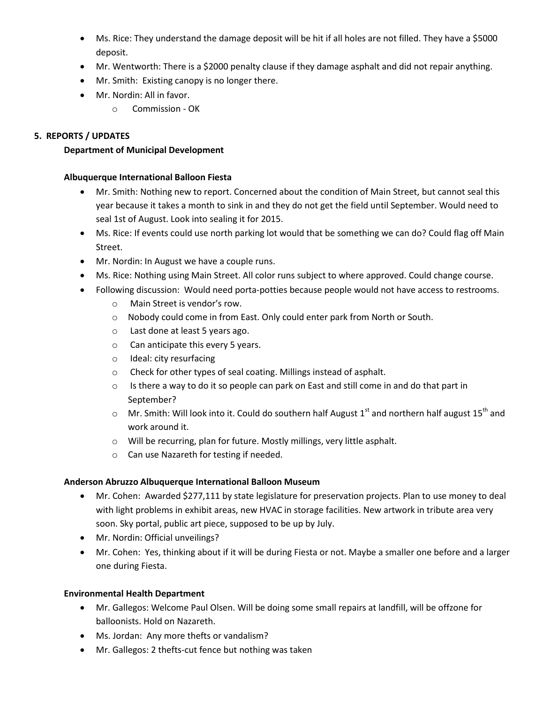- Ms. Rice: They understand the damage deposit will be hit if all holes are not filled. They have a \$5000 deposit.
- Mr. Wentworth: There is a \$2000 penalty clause if they damage asphalt and did not repair anything.
- Mr. Smith: Existing canopy is no longer there.
- Mr. Nordin: All in favor.
	- o Commission OK

### **5. REPORTS / UPDATES**

### **Department of Municipal Development**

### **Albuquerque International Balloon Fiesta**

- Mr. Smith: Nothing new to report. Concerned about the condition of Main Street, but cannot seal this year because it takes a month to sink in and they do not get the field until September. Would need to seal 1st of August. Look into sealing it for 2015.
- Ms. Rice: If events could use north parking lot would that be something we can do? Could flag off Main Street.
- Mr. Nordin: In August we have a couple runs.
- Ms. Rice: Nothing using Main Street. All color runs subject to where approved. Could change course.
- Following discussion: Would need porta-potties because people would not have access to restrooms.
	- o Main Street is vendor's row.
	- o Nobody could come in from East. Only could enter park from North or South.
	- o Last done at least 5 years ago.
	- o Can anticipate this every 5 years.
	- o Ideal: city resurfacing
	- o Check for other types of seal coating. Millings instead of asphalt.
	- o Is there a way to do it so people can park on East and still come in and do that part in September?
	- $\circ$  Mr. Smith: Will look into it. Could do southern half August 1<sup>st</sup> and northern half august 15<sup>th</sup> and work around it.
	- o Will be recurring, plan for future. Mostly millings, very little asphalt.
	- o Can use Nazareth for testing if needed.

## **Anderson Abruzzo Albuquerque International Balloon Museum**

- Mr. Cohen: Awarded \$277,111 by state legislature for preservation projects. Plan to use money to deal with light problems in exhibit areas, new HVAC in storage facilities. New artwork in tribute area very soon. Sky portal, public art piece, supposed to be up by July.
- Mr. Nordin: Official unveilings?
- Mr. Cohen: Yes, thinking about if it will be during Fiesta or not. Maybe a smaller one before and a larger one during Fiesta.

## **Environmental Health Department**

- Mr. Gallegos: Welcome Paul Olsen. Will be doing some small repairs at landfill, will be offzone for balloonists. Hold on Nazareth.
- Ms. Jordan: Any more thefts or vandalism?
- Mr. Gallegos: 2 thefts-cut fence but nothing was taken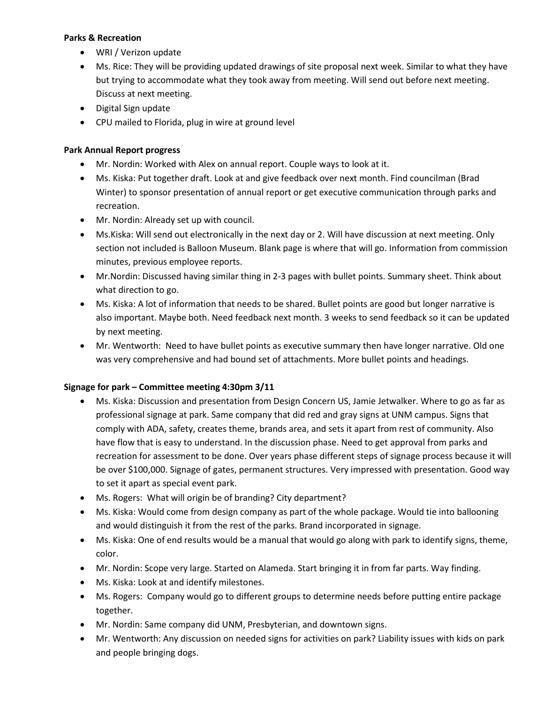### **Parks & Recreation**

- WRI / Verizon update
- Ms. Rice: They will be providing updated drawings of site proposal next week. Similar to what they have but trying to accommodate what they took away from meeting. Will send out before next meeting. Discuss at next meeting.
- Digital Sign update
- CPU mailed to Florida, plug in wire at ground level

# **Park Annual Report progress**

- Mr. Nordin: Worked with Alex on annual report. Couple ways to look at it.
- Ms. Kiska: Put together draft. Look at and give feedback over next month. Find councilman (Brad Winter) to sponsor presentation of annual report or get executive communication through parks and recreation.
- Mr. Nordin: Already set up with council.
- Ms.Kiska: Will send out electronically in the next day or 2. Will have discussion at next meeting. Only section not included is Balloon Museum. Blank page is where that will go. Information from commission minutes, previous employee reports.
- Mr.Nordin: Discussed having similar thing in 2-3 pages with bullet points. Summary sheet. Think about what direction to go.
- Ms. Kiska: A lot of information that needs to be shared. Bullet points are good but longer narrative is also important. Maybe both. Need feedback next month. 3 weeks to send feedback so it can be updated by next meeting.
- Mr. Wentworth: Need to have bullet points as executive summary then have longer narrative. Old one was very comprehensive and had bound set of attachments. More bullet points and headings.

# **Signage for park – Committee meeting 4:30pm 3/11**

- Ms. Kiska: Discussion and presentation from Design Concern US, Jamie Jetwalker. Where to go as far as professional signage at park. Same company that did red and gray signs at UNM campus. Signs that comply with ADA, safety, creates theme, brands area, and sets it apart from rest of community. Also have flow that is easy to understand. In the discussion phase. Need to get approval from parks and recreation for assessment to be done. Over years phase different steps of signage process because it will be over \$100,000. Signage of gates, permanent structures. Very impressed with presentation. Good way to set it apart as special event park.
- Ms. Rogers: What will origin be of branding? City department?
- Ms. Kiska: Would come from design company as part of the whole package. Would tie into ballooning and would distinguish it from the rest of the parks. Brand incorporated in signage.
- Ms. Kiska: One of end results would be a manual that would go along with park to identify signs, theme, color.
- Mr. Nordin: Scope very large. Started on Alameda. Start bringing it in from far parts. Way finding.
- Ms. Kiska: Look at and identify milestones.
- Ms. Rogers: Company would go to different groups to determine needs before putting entire package together.
- Mr. Nordin: Same company did UNM, Presbyterian, and downtown signs.
- Mr. Wentworth: Any discussion on needed signs for activities on park? Liability issues with kids on park and people bringing dogs.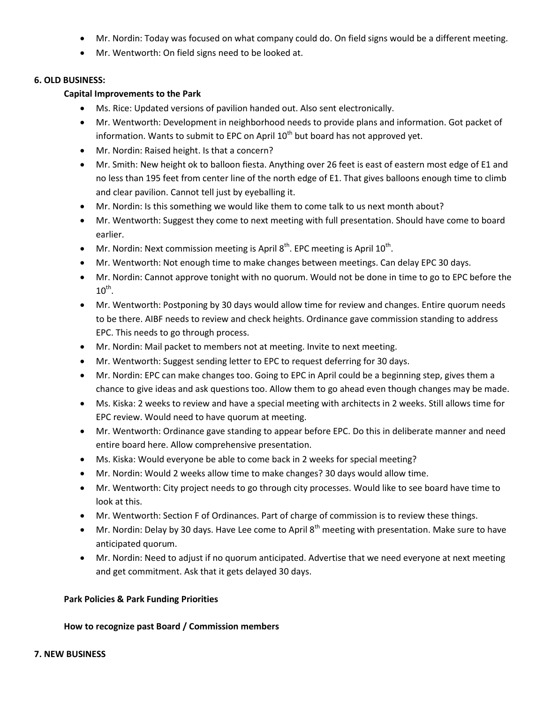- Mr. Nordin: Today was focused on what company could do. On field signs would be a different meeting.
- Mr. Wentworth: On field signs need to be looked at.

#### **6. OLD BUSINESS:**

### **Capital Improvements to the Park**

- Ms. Rice: Updated versions of pavilion handed out. Also sent electronically.
- Mr. Wentworth: Development in neighborhood needs to provide plans and information. Got packet of information. Wants to submit to EPC on April  $10<sup>th</sup>$  but board has not approved yet.
- Mr. Nordin: Raised height. Is that a concern?
- Mr. Smith: New height ok to balloon fiesta. Anything over 26 feet is east of eastern most edge of E1 and no less than 195 feet from center line of the north edge of E1. That gives balloons enough time to climb and clear pavilion. Cannot tell just by eyeballing it.
- Mr. Nordin: Is this something we would like them to come talk to us next month about?
- Mr. Wentworth: Suggest they come to next meeting with full presentation. Should have come to board earlier.
- Mr. Nordin: Next commission meeting is April  $8<sup>th</sup>$ . EPC meeting is April  $10<sup>th</sup>$ .
- Mr. Wentworth: Not enough time to make changes between meetings. Can delay EPC 30 days.
- Mr. Nordin: Cannot approve tonight with no quorum. Would not be done in time to go to EPC before the  $10^{\text{th}}$ .
- Mr. Wentworth: Postponing by 30 days would allow time for review and changes. Entire quorum needs to be there. AIBF needs to review and check heights. Ordinance gave commission standing to address EPC. This needs to go through process.
- Mr. Nordin: Mail packet to members not at meeting. Invite to next meeting.
- Mr. Wentworth: Suggest sending letter to EPC to request deferring for 30 days.
- Mr. Nordin: EPC can make changes too. Going to EPC in April could be a beginning step, gives them a chance to give ideas and ask questions too. Allow them to go ahead even though changes may be made.
- Ms. Kiska: 2 weeks to review and have a special meeting with architects in 2 weeks. Still allows time for EPC review. Would need to have quorum at meeting.
- Mr. Wentworth: Ordinance gave standing to appear before EPC. Do this in deliberate manner and need entire board here. Allow comprehensive presentation.
- Ms. Kiska: Would everyone be able to come back in 2 weeks for special meeting?
- Mr. Nordin: Would 2 weeks allow time to make changes? 30 days would allow time.
- Mr. Wentworth: City project needs to go through city processes. Would like to see board have time to look at this.
- Mr. Wentworth: Section F of Ordinances. Part of charge of commission is to review these things.
- $\bullet$  Mr. Nordin: Delay by 30 days. Have Lee come to April 8<sup>th</sup> meeting with presentation. Make sure to have anticipated quorum.
- Mr. Nordin: Need to adjust if no quorum anticipated. Advertise that we need everyone at next meeting and get commitment. Ask that it gets delayed 30 days.

### **Park Policies & Park Funding Priorities**

### **How to recognize past Board / Commission members**